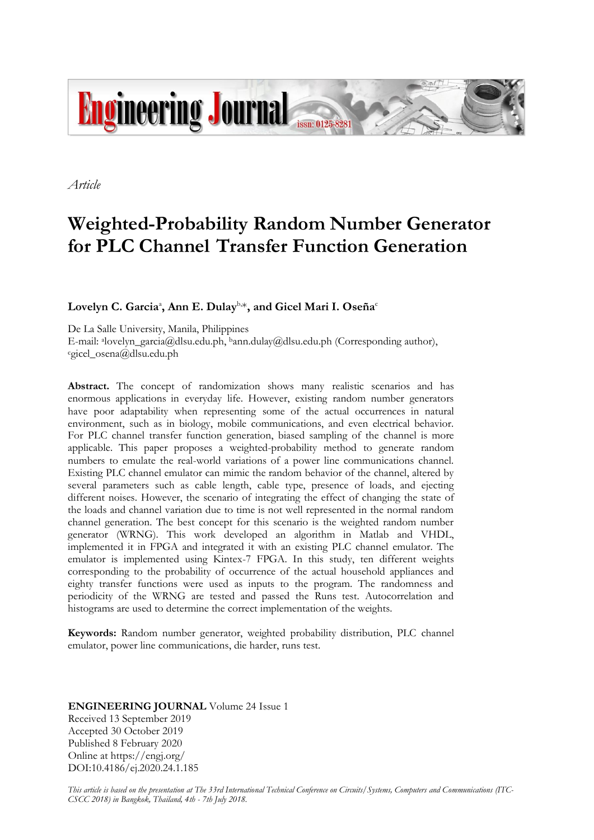

*Article*

# **Weighted-Probability Random Number Generator for PLC Channel Transfer Function Generation**

# Lovelyn C. Garcia<sup>a</sup>, Ann E. Dulay<sup>b,</sup>\*, and Gicel Mari I. Oseña<sup>c</sup>

De La Salle University, Manila, Philippines E-mail: <sup>a</sup> lovelyn\_garcia@dlsu.edu.ph, bann.dulay@dlsu.edu.ph (Corresponding author), <sup>c</sup>gicel\_osena@dlsu.edu.ph

**Abstract.** The concept of randomization shows many realistic scenarios and has enormous applications in everyday life. However, existing random number generators have poor adaptability when representing some of the actual occurrences in natural environment, such as in biology, mobile communications, and even electrical behavior. For PLC channel transfer function generation, biased sampling of the channel is more applicable. This paper proposes a weighted-probability method to generate random numbers to emulate the real-world variations of a power line communications channel. Existing PLC channel emulator can mimic the random behavior of the channel, altered by several parameters such as cable length, cable type, presence of loads, and ejecting different noises. However, the scenario of integrating the effect of changing the state of the loads and channel variation due to time is not well represented in the normal random channel generation. The best concept for this scenario is the weighted random number generator (WRNG). This work developed an algorithm in Matlab and VHDL, implemented it in FPGA and integrated it with an existing PLC channel emulator. The emulator is implemented using Kintex-7 FPGA. In this study, ten different weights corresponding to the probability of occurrence of the actual household appliances and eighty transfer functions were used as inputs to the program. The randomness and periodicity of the WRNG are tested and passed the Runs test. Autocorrelation and histograms are used to determine the correct implementation of the weights.

**Keywords:** Random number generator, weighted probability distribution, PLC channel emulator, power line communications, die harder, runs test.

## **ENGINEERING JOURNAL** Volume 24 Issue 1 Received 13 September 2019 Accepted 30 October 2019 Published 8 February 2020 Online at https://engj.org/ DOI:10.4186/ej.2020.24.1.185

*This article is based on the presentation at The 33rd International Technical Conference on Circuits/Systems, Computers and Communications (ITC-CSCC 2018) in Bangkok, Thailand, 4th - 7th July 2018.*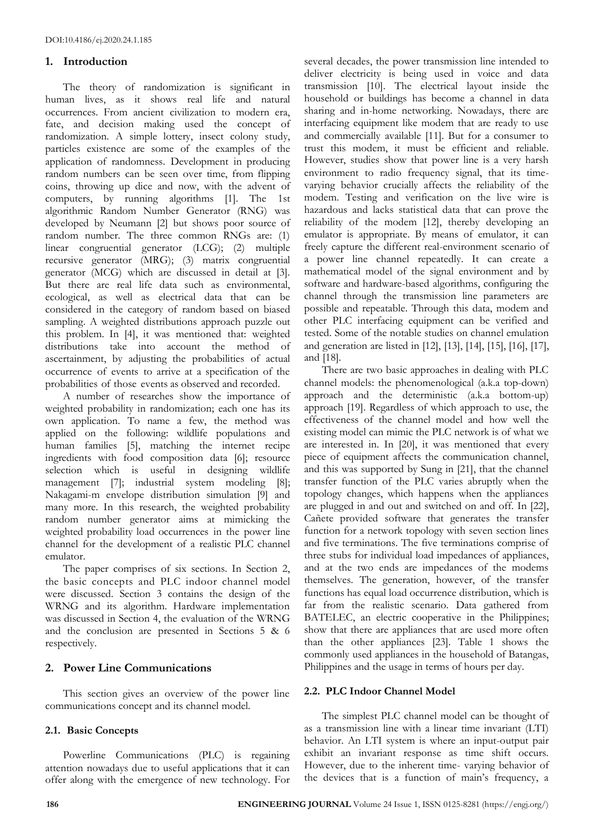## **1. Introduction**

The theory of randomization is significant in human lives, as it shows real life and natural occurrences. From ancient civilization to modern era, fate, and decision making used the concept of randomization. A simple lottery, insect colony study, particles existence are some of the examples of the application of randomness. Development in producing random numbers can be seen over time, from flipping coins, throwing up dice and now, with the advent of computers, by running algorithms [1]. The 1st algorithmic Random Number Generator (RNG) was developed by Neumann [2] but shows poor source of random number. The three common RNGs are: (1) linear congruential generator (LCG); (2) multiple recursive generator (MRG); (3) matrix congruential generator (MCG) which are discussed in detail at [3]. But there are real life data such as environmental, ecological, as well as electrical data that can be considered in the category of random based on biased sampling. A weighted distributions approach puzzle out this problem. In [4], it was mentioned that: weighted distributions take into account the method of ascertainment, by adjusting the probabilities of actual occurrence of events to arrive at a specification of the probabilities of those events as observed and recorded.

A number of researches show the importance of weighted probability in randomization; each one has its own application. To name a few, the method was applied on the following: wildlife populations and human families [5], matching the internet recipe ingredients with food composition data [6]; resource selection which is useful in designing wildlife management [7]; industrial system modeling [8]; Nakagami-m envelope distribution simulation [9] and many more. In this research, the weighted probability random number generator aims at mimicking the weighted probability load occurrences in the power line channel for the development of a realistic PLC channel emulator.

The paper comprises of six sections. In Section 2, the basic concepts and PLC indoor channel model were discussed. Section 3 contains the design of the WRNG and its algorithm. Hardware implementation was discussed in Section 4, the evaluation of the WRNG and the conclusion are presented in Sections 5 & 6 respectively.

## **2. Power Line Communications**

This section gives an overview of the power line communications concept and its channel model.

## **2.1. Basic Concepts**

Powerline Communications (PLC) is regaining attention nowadays due to useful applications that it can offer along with the emergence of new technology. For several decades, the power transmission line intended to deliver electricity is being used in voice and data transmission [10]. The electrical layout inside the household or buildings has become a channel in data sharing and in-home networking. Nowadays, there are interfacing equipment like modem that are ready to use and commercially available [11]. But for a consumer to trust this modem, it must be efficient and reliable. However, studies show that power line is a very harsh environment to radio frequency signal, that its timevarying behavior crucially affects the reliability of the modem. Testing and verification on the live wire is hazardous and lacks statistical data that can prove the reliability of the modem [12], thereby developing an emulator is appropriate. By means of emulator, it can freely capture the different real-environment scenario of a power line channel repeatedly. It can create a mathematical model of the signal environment and by software and hardware-based algorithms, configuring the channel through the transmission line parameters are possible and repeatable. Through this data, modem and other PLC interfacing equipment can be verified and tested. Some of the notable studies on channel emulation and generation are listed in [12], [13], [14], [15], [16], [17], and [18].

There are two basic approaches in dealing with PLC channel models: the phenomenological (a.k.a top-down) approach and the deterministic (a.k.a bottom-up) approach [19]. Regardless of which approach to use, the effectiveness of the channel model and how well the existing model can mimic the PLC network is of what we are interested in. In [20], it was mentioned that every piece of equipment affects the communication channel, and this was supported by Sung in [21], that the channel transfer function of the PLC varies abruptly when the topology changes, which happens when the appliances are plugged in and out and switched on and off. In [22], Cañete provided software that generates the transfer function for a network topology with seven section lines and five terminations. The five terminations comprise of three stubs for individual load impedances of appliances, and at the two ends are impedances of the modems themselves. The generation, however, of the transfer functions has equal load occurrence distribution, which is far from the realistic scenario. Data gathered from BATELEC, an electric cooperative in the Philippines; show that there are appliances that are used more often than the other appliances [23]. Table 1 shows the commonly used appliances in the household of Batangas, Philippines and the usage in terms of hours per day.

## **2.2. PLC Indoor Channel Model**

The simplest PLC channel model can be thought of as a transmission line with a linear time invariant (LTI) behavior. An LTI system is where an input-output pair exhibit an invariant response as time shift occurs. However, due to the inherent time- varying behavior of the devices that is a function of main's frequency, a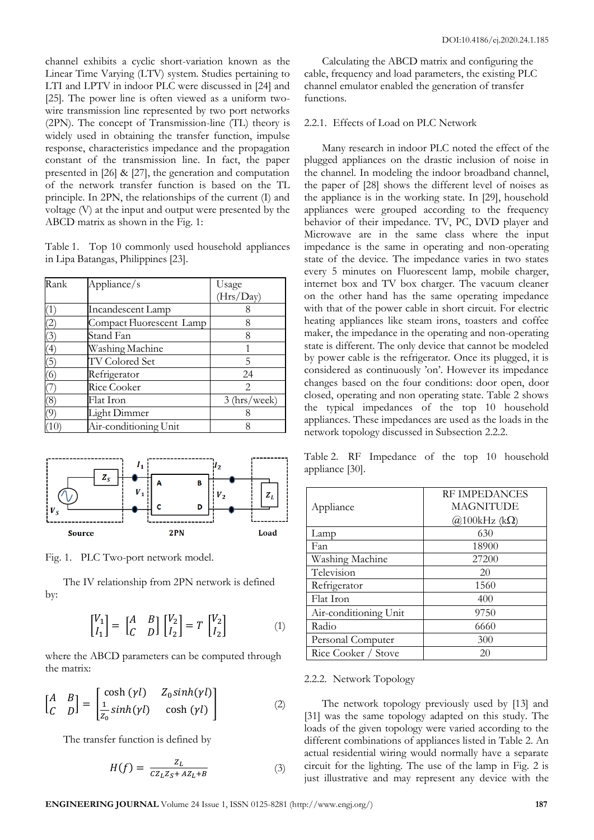channel exhibits a cyclic short-variation known as the Linear Time Varying (LTV) system. Studies pertaining to LTI and LPTV in indoor PLC were discussed in [24] and [25]. The power line is often viewed as a uniform twowire transmission line represented by two port networks (2PN). The concept of Transmission-line (TL) theory is widely used in obtaining the transfer function, impulse response, characteristics impedance and the propagation constant of the transmission line. In fact, the paper presented in [26] & [27], the generation and computation of the network transfer function is based on the TL principle. In 2PN, the relationships of the current (I) and voltage (V) at the input and output were presented by the ABCD matrix as shown in the Fig. 1:

Table 1. Top 10 commonly used household appliances in Lipa Batangas, Philippines [23].

| Rank              | Appliance/s              | Usage                  |
|-------------------|--------------------------|------------------------|
|                   |                          | (Hrs/Day)              |
| $\left(1\right)$  | Incandescent Lamp        |                        |
| $\left( 2\right)$ | Compact Fluorescent Lamp | 8                      |
| (3)               | Stand Fan                | 8                      |
| (4)               | Washing Machine          |                        |
| (5)               | TV Colored Set           | 5                      |
| (6)               | Refrigerator             | 24                     |
|                   | Rice Cooker              | $\mathfrak{D}_{\cdot}$ |
| $\left( 8\right)$ | Flat Iron                | (hrs/week)<br>3        |
| 7)                | Light Dimmer             |                        |
|                   | Air-conditioning Unit    |                        |



Fig. 1. PLC Two-port network model.

The IV relationship from 2PN network is defined by:

$$
\begin{bmatrix} V_1 \\ I_1 \end{bmatrix} = \begin{bmatrix} A & B \\ C & D \end{bmatrix} \begin{bmatrix} V_2 \\ I_2 \end{bmatrix} = T \begin{bmatrix} V_2 \\ I_2 \end{bmatrix}
$$
 (1)

where the ABCD parameters can be computed through the matrix:

$$
\begin{bmatrix} A & B \\ C & D \end{bmatrix} = \begin{bmatrix} \cosh(\gamma l) & Z_0 \sinh(\gamma l) \\ \frac{1}{Z_0} \sinh(\gamma l) & \cosh(\gamma l) \end{bmatrix}
$$
 (2)

The transfer function is defined by

$$
H(f) = \frac{Z_L}{CZ_L Z_S + AZ_L + B} \tag{3}
$$

Calculating the ABCD matrix and configuring the cable, frequency and load parameters, the existing PLC channel emulator enabled the generation of transfer functions.

#### 2.2.1. Effects of Load on PLC Network

Many research in indoor PLC noted the effect of the plugged appliances on the drastic inclusion of noise in the channel. In modeling the indoor broadband channel, the paper of [28] shows the different level of noises as the appliance is in the working state. In [29], household appliances were grouped according to the frequency behavior of their impedance. TV, PC, DVD player and Microwave are in the same class where the input impedance is the same in operating and non-operating state of the device. The impedance varies in two states every 5 minutes on Fluorescent lamp, mobile charger, internet box and TV box charger. The vacuum cleaner on the other hand has the same operating impedance with that of the power cable in short circuit. For electric heating appliances like steam irons, toasters and coffee maker, the impedance in the operating and non-operating state is different. The only device that cannot be modeled by power cable is the refrigerator. Once its plugged, it is considered as continuously 'on'. However its impedance changes based on the four conditions: door open, door closed, operating and non operating state. Table 2 shows the typical impedances of the top 10 household appliances. These impedances are used as the loads in the network topology discussed in Subsection 2.2.2.

Table 2. RF Impedance of the top 10 household appliance [30].

|                       | <b>RE IMPEDANCES</b>         |
|-----------------------|------------------------------|
| Appliance             | <b>MAGNITUDE</b>             |
|                       | $\omega(2100\text{kHz}$ (kΩ) |
| Lamp                  | 630                          |
| Fan                   | 18900                        |
| Washing Machine       | 27200                        |
| Television            | 20                           |
| Refrigerator          | 1560                         |
| Flat Iron             | 400                          |
| Air-conditioning Unit | 9750                         |
| Radio                 | 6660                         |
| Personal Computer     | 300                          |
| Rice Cooker / Stove   | 20                           |

#### 2.2.2. Network Topology

The network topology previously used by [13] and [31] was the same topology adapted on this study. The loads of the given topology were varied according to the different combinations of appliances listed in Table 2. An actual residential wiring would normally have a separate circuit for the lighting. The use of the lamp in Fig. 2 is just illustrative and may represent any device with the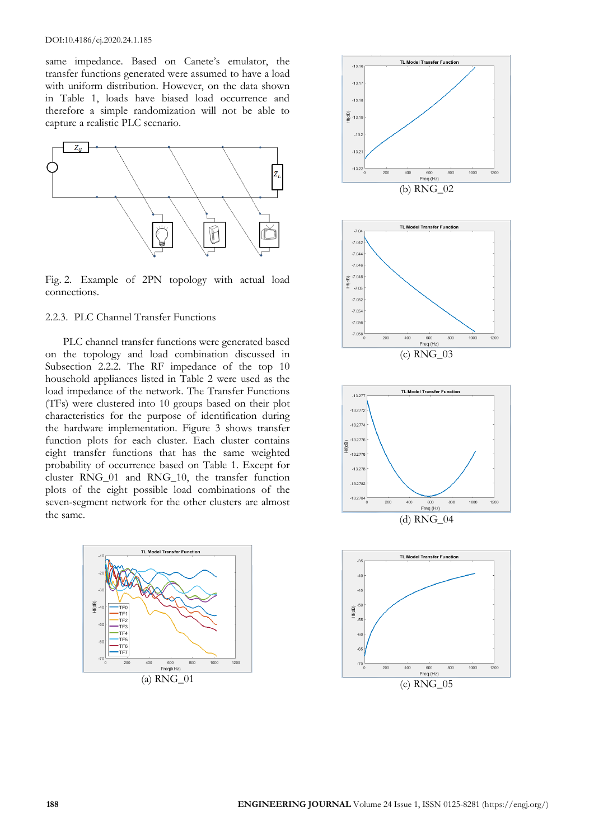same impedance. Based on Canete's emulator, the transfer functions generated were assumed to have a load with uniform distribution. However, on the data shown in Table 1, loads have biased load occurrence and therefore a simple randomization will not be able to capture a realistic PLC scenario.



Fig. 2. Example of 2PN topology with actual load connections.

## 2.2.3. PLC Channel Transfer Functions

PLC channel transfer functions were generated based on the topology and load combination discussed in Subsection 2.2.2. The RF impedance of the top 10 household appliances listed in Table 2 were used as the load impedance of the network. The Transfer Functions (TFs) were clustered into 10 groups based on their plot characteristics for the purpose of identification during the hardware implementation. Figure 3 shows transfer function plots for each cluster. Each cluster contains eight transfer functions that has the same weighted probability of occurrence based on Table 1. Except for cluster RNG\_01 and RNG\_10, the transfer function plots of the eight possible load combinations of the seven-segment network for the other clusters are almost the same.



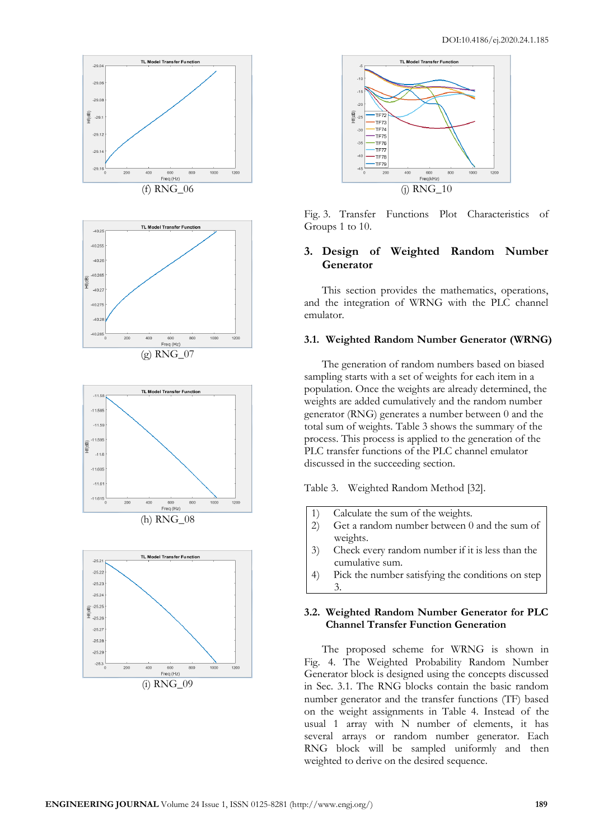



Fig. 3. Transfer Functions Plot Characteristics of Groups 1 to 10.

# **3. Design of Weighted Random Number Generator**

This section provides the mathematics, operations, and the integration of WRNG with the PLC channel emulator.

## **3.1. Weighted Random Number Generator (WRNG)**

The generation of random numbers based on biased sampling starts with a set of weights for each item in a population. Once the weights are already determined, the weights are added cumulatively and the random number generator (RNG) generates a number between 0 and the total sum of weights. Table 3 shows the summary of the process. This process is applied to the generation of the PLC transfer functions of the PLC channel emulator discussed in the succeeding section.

Table 3. Weighted Random Method [32].

- 1) Calculate the sum of the weights.
- 2) Get a random number between 0 and the sum of weights.
- 3) Check every random number if it is less than the cumulative sum.
- 4) Pick the number satisfying the conditions on step 3.

## **3.2. Weighted Random Number Generator for PLC Channel Transfer Function Generation**

The proposed scheme for WRNG is shown in Fig. 4. The Weighted Probability Random Number Generator block is designed using the concepts discussed in Sec. 3.1. The RNG blocks contain the basic random number generator and the transfer functions (TF) based on the weight assignments in Table 4. Instead of the usual 1 array with N number of elements, it has several arrays or random number generator. Each RNG block will be sampled uniformly and then weighted to derive on the desired sequence.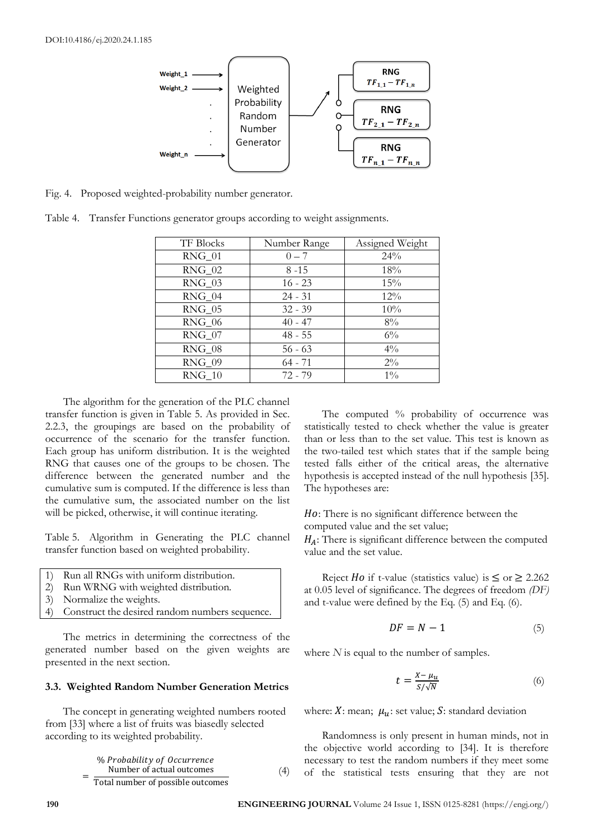

Fig. 4. Proposed weighted-probability number generator.

Table 4. Transfer Functions generator groups according to weight assignments.

| <b>TF Blocks</b> | Number Range | Assigned Weight |
|------------------|--------------|-----------------|
| RNG 01           | $0 - 7$      | 24%             |
| $RNG_02$         | $8 - 15$     | 18%             |
| RNG 03           | $16 - 23$    | 15%             |
| $RNG_04$         | $24 - 31$    | 12%             |
| RNG 05           | $32 - 39$    | 10%             |
| <b>RNG 06</b>    | $40 - 47$    | $8\%$           |
| $RNG_07$         | $48 - 55$    | $6\%$           |
| RNG 08           | $56 - 63$    | $4\%$           |
| RNG 09           | $64 - 71$    | $2\%$           |
| RNG 10           | $72 - 79$    | $1\%$           |

The algorithm for the generation of the PLC channel transfer function is given in Table 5. As provided in Sec. 2.2.3, the groupings are based on the probability of occurrence of the scenario for the transfer function. Each group has uniform distribution. It is the weighted RNG that causes one of the groups to be chosen. The difference between the generated number and the cumulative sum is computed. If the difference is less than the cumulative sum, the associated number on the list will be picked, otherwise, it will continue iterating.

Table 5. Algorithm in Generating the PLC channel transfer function based on weighted probability.

| 1) Run all RNGs with uniform distribution.        |
|---------------------------------------------------|
| 2) Run WRNG with weighted distribution.           |
| 3) Normalize the weights.                         |
| 4) Construct the desired random numbers sequence. |
|                                                   |

The metrics in determining the correctness of the generated number based on the given weights are presented in the next section.

## **3.3. Weighted Random Number Generation Metrics**

The concept in generating weighted numbers rooted from [33] where a list of fruits was biasedly selected according to its weighted probability.

$$
\frac{\% \text{ Probability of Occurrence}}{\text{Number of actual outcomes}} \tag{4}
$$
\n
$$
\frac{\text{Number of actual outcomes}}{\text{Total number of possible outcomes}}
$$

The computed % probability of occurrence was statistically tested to check whether the value is greater than or less than to the set value. This test is known as the two-tailed test which states that if the sample being tested falls either of the critical areas, the alternative hypothesis is accepted instead of the null hypothesis [35]. The hypotheses are:

: There is no significant difference between the computed value and the set value;

 $H_A$ : There is significant difference between the computed value and the set value.

Reject *Ho* if t-value (statistics value) is  $\leq$  or  $\geq$  2.262 at 0.05 level of significance. The degrees of freedom *(DF)* and t-value were defined by the Eq. (5) and Eq. (6).

$$
DF = N - 1 \tag{5}
$$

where *N* is equal to the number of samples.

$$
t = \frac{X - \mu_u}{S/\sqrt{N}}\tag{6}
$$

where: X: mean;  $\mu_u$ : set value; S: standard deviation

Randomness is only present in human minds, not in the objective world according to [34]. It is therefore necessary to test the random numbers if they meet some of the statistical tests ensuring that they are not

=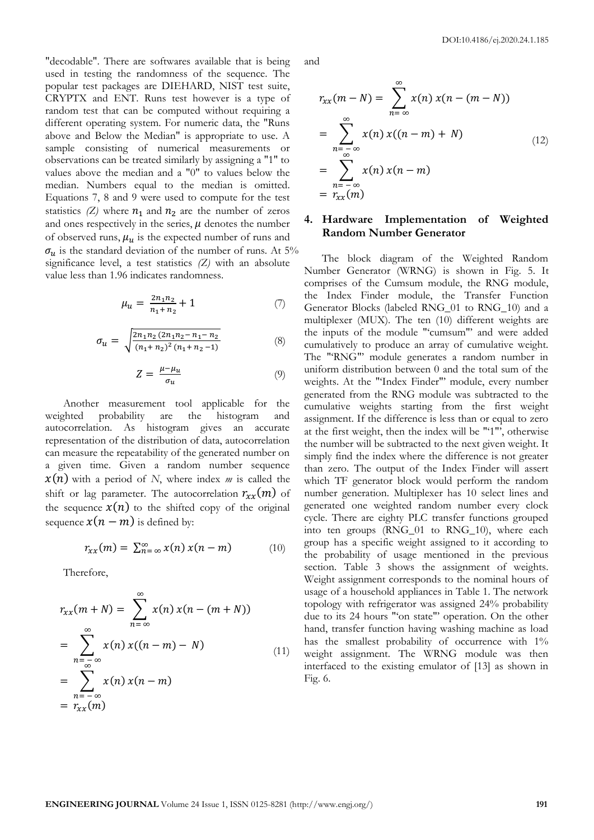DOI:10.4186/ej.2020.24.1.185

"decodable". There are softwares available that is being used in testing the randomness of the sequence. The popular test packages are DIEHARD, NIST test suite, CRYPTX and ENT. Runs test however is a type of random test that can be computed without requiring a different operating system. For numeric data, the "Runs above and Below the Median" is appropriate to use. A sample consisting of numerical measurements or observations can be treated similarly by assigning a "1" to values above the median and a "0" to values below the median. Numbers equal to the median is omitted. Equations 7, 8 and 9 were used to compute for the test statistics  $(Z)$  where  $n_1$  and  $n_2$  are the number of zeros and ones respectively in the series,  $\mu$  denotes the number of observed runs,  $\mu_u$  is the expected number of runs and  $\sigma_u$  is the standard deviation of the number of runs. At 5% significance level, a test statistics *(Z)* with an absolute value less than 1.96 indicates randomness.

$$
\mu_u = \frac{2n_1n_2}{n_1 + n_2} + 1 \tag{7}
$$

$$
\sigma_u = \sqrt{\frac{2n_1n_2(2n_1n_2 - n_1 - n_2)}{(n_1 + n_2)^2(n_1 + n_2 - 1)}}
$$
(8)

$$
Z = \frac{\mu - \mu_u}{\sigma_u} \tag{9}
$$

Another measurement tool applicable for the weighted probability are the histogram and autocorrelation. As histogram gives an accurate representation of the distribution of data, autocorrelation can measure the repeatability of the generated number on a given time. Given a random number sequence  $x(n)$  with a period of *N*, where index *m* is called the shift or lag parameter. The autocorrelation  $r_{xx}(m)$  of the sequence  $x(n)$  to the shifted copy of the original sequence  $x(n - m)$  is defined by:

$$
r_{xx}(m) = \sum_{n=-\infty}^{\infty} x(n) x(n-m) \qquad (10)
$$

Therefore,

$$
r_{xx}(m+N) = \sum_{n=-\infty}^{\infty} x(n) x(n-(m+N))
$$
  
= 
$$
\sum_{n=-\infty}^{\infty} x(n) x((n-m)-N)
$$
  
= 
$$
\sum_{n=-\infty}^{\infty} x(n) x(n-m)
$$
  
= 
$$
r_{xx}(m)
$$
 (11)

and

$$
r_{xx}(m-N) = \sum_{n=-\infty}^{\infty} x(n) x(n-(m-N))
$$
  
= 
$$
\sum_{n=-\infty}^{\infty} x(n) x((n-m)+N)
$$
  
= 
$$
\sum_{n=-\infty}^{\infty} x(n) x(n-m)
$$
  
= 
$$
r_{xx}(m)
$$
 (12)

## **4. Hardware Implementation of Weighted Random Number Generator**

The block diagram of the Weighted Random Number Generator (WRNG) is shown in Fig. 5. It comprises of the Cumsum module, the RNG module, the Index Finder module, the Transfer Function Generator Blocks (labeled RNG\_01 to RNG\_10) and a multiplexer (MUX). The ten (10) different weights are the inputs of the module "'cumsum"' and were added cumulatively to produce an array of cumulative weight. The "'RNG"' module generates a random number in uniform distribution between 0 and the total sum of the weights. At the "'Index Finder"' module, every number generated from the RNG module was subtracted to the cumulative weights starting from the first weight assignment. If the difference is less than or equal to zero at the first weight, then the index will be "'1"', otherwise the number will be subtracted to the next given weight. It simply find the index where the difference is not greater than zero. The output of the Index Finder will assert which TF generator block would perform the random number generation. Multiplexer has 10 select lines and generated one weighted random number every clock cycle. There are eighty PLC transfer functions grouped into ten groups (RNG\_01 to RNG\_10), where each group has a specific weight assigned to it according to the probability of usage mentioned in the previous section. Table 3 shows the assignment of weights. Weight assignment corresponds to the nominal hours of usage of a household appliances in Table 1. The network topology with refrigerator was assigned 24% probability due to its 24 hours "'on state"' operation. On the other hand, transfer function having washing machine as load has the smallest probability of occurrence with 1% weight assignment. The WRNG module was then interfaced to the existing emulator of [13] as shown in Fig. 6.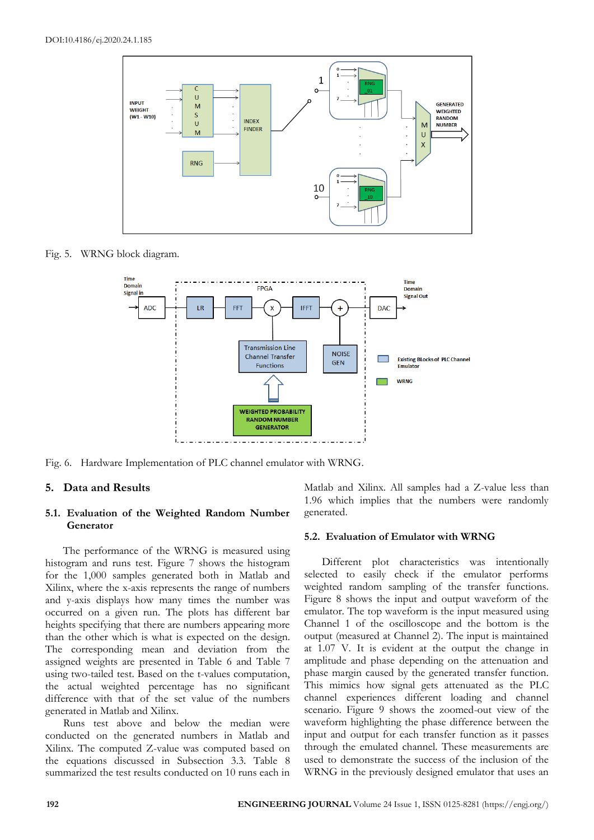

Fig. 5. WRNG block diagram.



Fig. 6. Hardware Implementation of PLC channel emulator with WRNG.

## **5. Data and Results**

## **5.1. Evaluation of the Weighted Random Number Generator**

The performance of the WRNG is measured using histogram and runs test. Figure 7 shows the histogram for the 1,000 samples generated both in Matlab and Xilinx, where the x-axis represents the range of numbers and y-axis displays how many times the number was occurred on a given run. The plots has different bar heights specifying that there are numbers appearing more than the other which is what is expected on the design. The corresponding mean and deviation from the assigned weights are presented in Table 6 and Table 7 using two-tailed test. Based on the t-values computation, the actual weighted percentage has no significant difference with that of the set value of the numbers generated in Matlab and Xilinx.

Runs test above and below the median were conducted on the generated numbers in Matlab and Xilinx. The computed Z-value was computed based on the equations discussed in Subsection 3.3. Table 8 summarized the test results conducted on 10 runs each in Matlab and Xilinx. All samples had a Z-value less than 1.96 which implies that the numbers were randomly generated.

#### **5.2. Evaluation of Emulator with WRNG**

Different plot characteristics was intentionally selected to easily check if the emulator performs weighted random sampling of the transfer functions. Figure 8 shows the input and output waveform of the emulator. The top waveform is the input measured using Channel 1 of the oscilloscope and the bottom is the output (measured at Channel 2). The input is maintained at 1.07 V. It is evident at the output the change in amplitude and phase depending on the attenuation and phase margin caused by the generated transfer function. This mimics how signal gets attenuated as the PLC channel experiences different loading and channel scenario. Figure 9 shows the zoomed-out view of the waveform highlighting the phase difference between the input and output for each transfer function as it passes through the emulated channel. These measurements are used to demonstrate the success of the inclusion of the WRNG in the previously designed emulator that uses an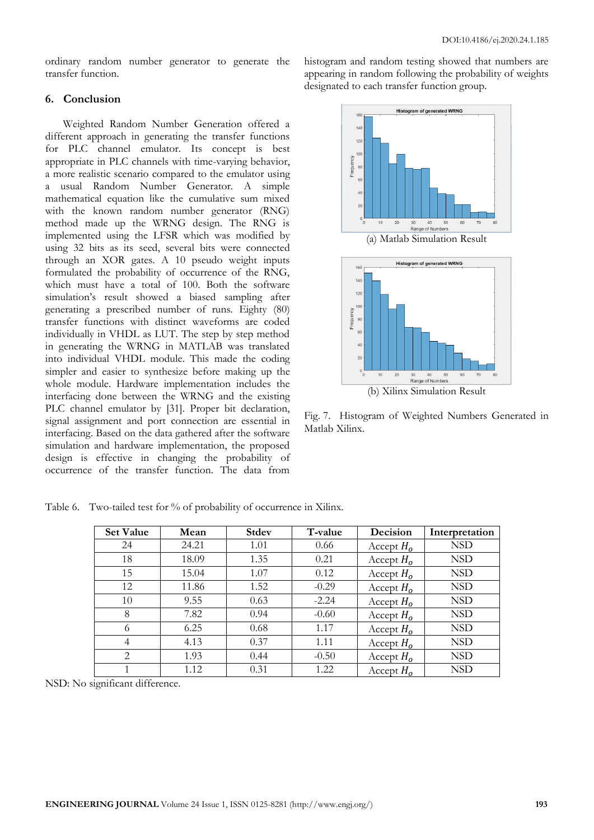ordinary random number generator to generate the transfer function.

## **6. Conclusion**

Weighted Random Number Generation offered a different approach in generating the transfer functions for PLC channel emulator. Its concept is best appropriate in PLC channels with time-varying behavior, a more realistic scenario compared to the emulator using a usual Random Number Generator. A simple mathematical equation like the cumulative sum mixed with the known random number generator (RNG) method made up the WRNG design. The RNG is implemented using the LFSR which was modified by using 32 bits as its seed, several bits were connected through an XOR gates. A 10 pseudo weight inputs formulated the probability of occurrence of the RNG, which must have a total of 100. Both the software simulation's result showed a biased sampling after generating a prescribed number of runs. Eighty (80) transfer functions with distinct waveforms are coded individually in VHDL as LUT. The step by step method in generating the WRNG in MATLAB was translated into individual VHDL module. This made the coding simpler and easier to synthesize before making up the whole module. Hardware implementation includes the interfacing done between the WRNG and the existing PLC channel emulator by [31]. Proper bit declaration, signal assignment and port connection are essential in interfacing. Based on the data gathered after the software simulation and hardware implementation, the proposed design is effective in changing the probability of occurrence of the transfer function. The data from

histogram and random testing showed that numbers are appearing in random following the probability of weights designated to each transfer function group.





Fig. 7. Histogram of Weighted Numbers Generated in Matlab Xilinx.

| <b>Set Value</b> | Mean  | <b>Stdev</b> | T-value | Decision     | Interpretation |
|------------------|-------|--------------|---------|--------------|----------------|
| 24               | 24.21 | 1.01         | 0.66    | Accept $H_0$ | <b>NSD</b>     |
| 18               | 18.09 | 1.35         | 0.21    | Accept $H_0$ | <b>NSD</b>     |
| 15               | 15.04 | 1.07         | 0.12    | Accept $H_0$ | <b>NSD</b>     |
| 12               | 11.86 | 1.52         | $-0.29$ | Accept $H_0$ | <b>NSD</b>     |
| 10               | 9.55  | 0.63         | $-2.24$ | Accept $H_0$ | <b>NSD</b>     |
| 8                | 7.82  | 0.94         | $-0.60$ | Accept $H_0$ | <b>NSD</b>     |
| 6                | 6.25  | 0.68         | 1.17    | Accept $H_0$ | <b>NSD</b>     |
| 4                | 4.13  | 0.37         | 1.11    | Accept $H_0$ | <b>NSD</b>     |
| $\overline{2}$   | 1.93  | 0.44         | $-0.50$ | Accept $H_0$ | <b>NSD</b>     |
|                  | 1.12  | 0.31         | 1.22    | Accept $H_0$ | <b>NSD</b>     |

Table 6. Two-tailed test for % of probability of occurrence in Xilinx.

NSD: No significant difference.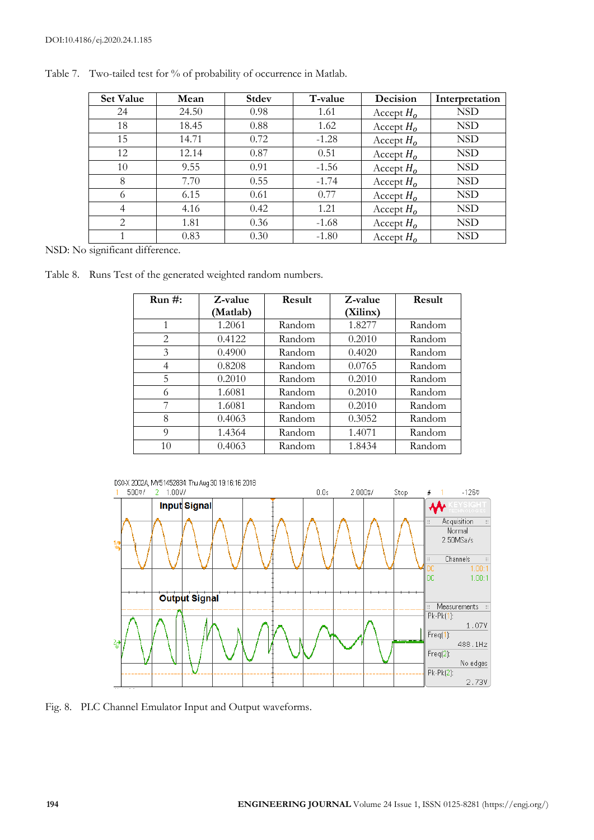| <b>Set Value</b> | Mean  | <b>Stdev</b> | T-value | Decision     | Interpretation |
|------------------|-------|--------------|---------|--------------|----------------|
| 24               | 24.50 | 0.98         | 1.61    | Accept $H_0$ | <b>NSD</b>     |
| 18               | 18.45 | 0.88         | 1.62    | Accept $H_0$ | <b>NSD</b>     |
| 15               | 14.71 | 0.72         | $-1.28$ | Accept $H_0$ | <b>NSD</b>     |
| 12               | 12.14 | 0.87         | 0.51    | Accept $H_0$ | <b>NSD</b>     |
| 10               | 9.55  | 0.91         | $-1.56$ | Accept $H_0$ | <b>NSD</b>     |
| 8                | 7.70  | 0.55         | $-1.74$ | Accept $H_0$ | <b>NSD</b>     |
| 6                | 6.15  | 0.61         | 0.77    | Accept $H_0$ | <b>NSD</b>     |
| $\overline{4}$   | 4.16  | 0.42         | 1.21    | Accept $H_0$ | <b>NSD</b>     |
| $\overline{2}$   | 1.81  | 0.36         | $-1.68$ | Accept $H_0$ | <b>NSD</b>     |
| 1                | 0.83  | 0.30         | $-1.80$ | Accept $H_0$ | <b>NSD</b>     |

Table 7. Two-tailed test for % of probability of occurrence in Matlab.

NSD: No significant difference.

Table 8. Runs Test of the generated weighted random numbers.

| $Run#$ : | Z-value  | Result | Z-value  | Result |
|----------|----------|--------|----------|--------|
|          | (Matlab) |        | (Xilinx) |        |
| 1        | 1.2061   | Random | 1.8277   | Random |
| 2        | 0.4122   | Random | 0.2010   | Random |
| 3        | 0.4900   | Random | 0.4020   | Random |
| 4        | 0.8208   | Random | 0.0765   | Random |
| 5        | 0.2010   | Random | 0.2010   | Random |
| 6        | 1.6081   | Random | 0.2010   | Random |
| 7        | 1.6081   | Random | 0.2010   | Random |
| 8        | 0.4063   | Random | 0.3052   | Random |
| 9        | 1.4364   | Random | 1.4071   | Random |
| 10       | 0.4063   | Random | 1.8434   | Random |



Fig. 8. PLC Channel Emulator Input and Output waveforms.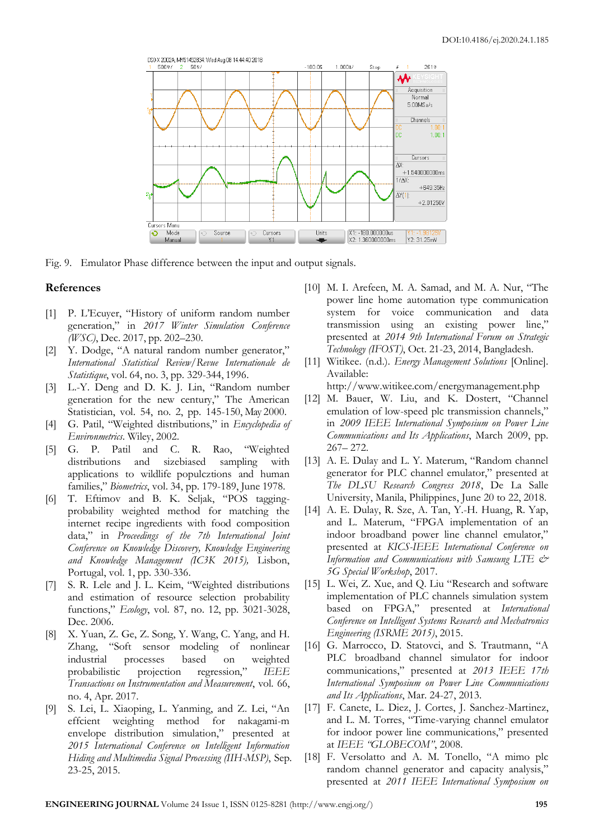

Fig. 9. Emulator Phase difference between the input and output signals.

## **References**

- [1] P. L'Ecuyer, "History of uniform random number generation," in *2017 Winter Simulation Conference (WSC)*, Dec. 2017, pp. 202–230.
- [2] Y. Dodge, "A natural random number generator," *International Statistical Review/Revue Internationale de Statistique*, vol. 64, no. 3, pp. 329-344, 1996.
- [3] L.-Y. Deng and D. K. J. Lin, "Random number generation for the new century," The American Statistician, vol. 54, no. 2, pp. 145-150, May 2000.
- [4] G. Patil, "Weighted distributions," in *Encyclopedia of Environmetrics*. Wiley, 2002.
- [5] G. P. Patil and C. R. Rao, "Weighted distributions and sizebiased sampling with applications to wildlife populcztions and human families," *Biometrics*, vol. 34, pp. 179-189, June 1978.
- [6] T. Eftimov and B. K. Seljak, "POS taggingprobability weighted method for matching the internet recipe ingredients with food composition data," in *Proceedings of the 7th International Joint Conference on Knowledge Discovery, Knowledge Engineering and Knowledge Management (IC3K 2015),* Lisbon, Portugal, vol. 1, pp. 330-336.
- [7] S. R. Lele and J. L. Keim, "Weighted distributions and estimation of resource selection probability functions," *Ecology*, vol. 87, no. 12, pp. 3021-3028, Dec. 2006.
- [8] X. Yuan, Z. Ge, Z. Song, Y. Wang, C. Yang, and H. Zhang, "Soft sensor modeling of nonlinear industrial processes based on weighted probabilistic projection regression," *IEEE Transactions on Instrumentation and Measurement*, vol. 66, no. 4, Apr. 2017.
- [9] S. Lei, L. Xiaoping, L. Yanming, and Z. Lei, "An effcient weighting method for nakagami-m envelope distribution simulation," presented at *2015 International Conference on Intelligent Information Hiding and Multimedia Signal Processing (IIH-MSP)*, Sep. 23-25, 2015.
- [10] M. I. Arefeen, M. A. Samad, and M. A. Nur, "The power line home automation type communication system for voice communication and data transmission using an existing power line," presented at *2014 9th International Forum on Strategic Technology (IFOST)*, Oct. 21-23, 2014, Bangladesh.
- [11] Witikee. (n.d.). *Energy Management Solutions* [Online]. Available:

http://www.witikee.com/energymanagement.php

- [12] M. Bauer, W. Liu, and K. Dostert, "Channel emulation of low-speed plc transmission channels," in *2009 IEEE International Symposium on Power Line Communications and Its Applications*, March 2009, pp. 267– 272.
- [13] A. E. Dulay and L. Y. Materum, "Random channel generator for PLC channel emulator," presented at *The DLSU Research Congress 2018*, De La Salle University, Manila, Philippines, June 20 to 22, 2018.
- [14] A. E. Dulay, R. Sze, A. Tan, Y.-H. Huang, R. Yap, and L. Materum, "FPGA implementation of an indoor broadband power line channel emulator," presented at *KICS-IEEE International Conference on Information and Communications with Samsung LTE & 5G Special Workshop*, 2017.
- [15] L. Wei, Z. Xue, and Q. Liu "Research and software implementation of PLC channels simulation system based on FPGA," presented at *International Conference on Intelligent Systems Research and Mechatronics Engineering (ISRME 2015)*, 2015.
- [16] G. Marrocco, D. Statovci, and S. Trautmann, "A PLC broadband channel simulator for indoor communications," presented at *[2013 IEEE 17th](https://ieeexplore.ieee.org/xpl/mostRecentIssue.jsp?punumber=6520967)  [International Symposium on Power Line Communications](https://ieeexplore.ieee.org/xpl/mostRecentIssue.jsp?punumber=6520967)  [and Its Applications](https://ieeexplore.ieee.org/xpl/mostRecentIssue.jsp?punumber=6520967)*, Mar. 24-27, 2013.
- [17] F. Canete, L. Diez, J. Cortes, J. Sanchez-Martinez, and L. M. Torres, "Time-varying channel emulator for indoor power line communications," presented at *IEEE "GLOBECOM"*, 2008.
- [18] F. Versolatto and A. M. Tonello, "A mimo plc random channel generator and capacity analysis," presented at *2011 IEEE International Symposium on*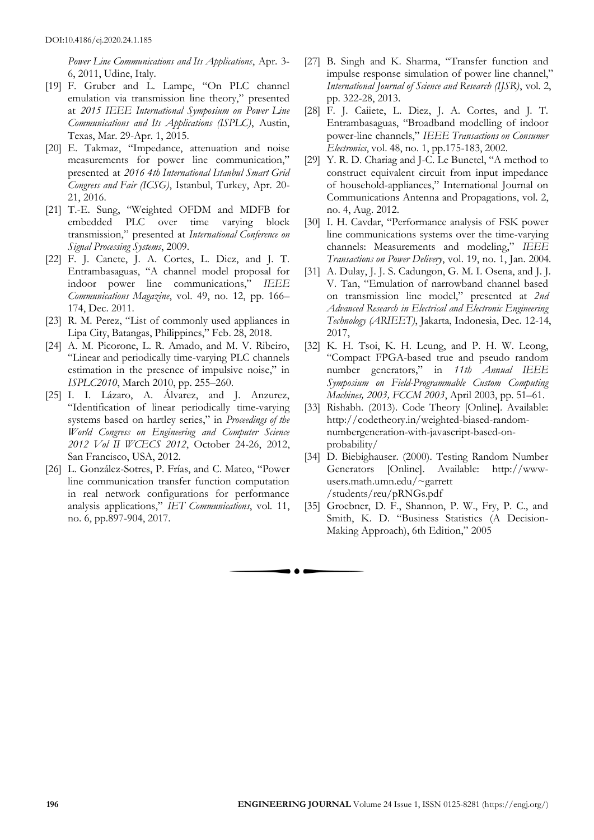*Power Line Communications and Its Applications*, Apr. 3- 6, 2011, Udine, Italy.

- [19] F. Gruber and L. Lampe, "On PLC channel emulation via transmission line theory," presented at *2015 IEEE International Symposium on Power Line Communications and Its Applications (ISPLC)*, Austin, Texas, Mar. 29-Apr. 1, 2015.
- [20] E. Takmaz, "Impedance, attenuation and noise measurements for power line communication," presented at *2016 4th International Istanbul Smart Grid Congress and Fair (ICSG)*, Istanbul, Turkey, Apr. 20- 21, 2016.
- [21] T.-E. Sung, "Weighted OFDM and MDFB for embedded PLC over time varying block transmission," presented at *International Conference on Signal Processing Systems*, 2009.
- [22] F. J. Canete, J. A. Cortes, L. Diez, and J. T. Entrambasaguas, "A channel model proposal for indoor power line communications," *IEEE Communications Magazine*, vol. 49, no. 12, pp. 166– 174, Dec. 2011.
- [23] R. M. Perez, "List of commonly used appliances in Lipa City, Batangas, Philippines," Feb. 28, 2018.
- [24] A. M. Picorone, L. R. Amado, and M. V. Ribeiro, "Linear and periodically time-varying PLC channels estimation in the presence of impulsive noise," in *ISPLC2010*, March 2010, pp. 255–260.
- [25] I. I. Lázaro, A. Álvarez, and J. Anzurez, "Identification of linear periodically time-varying systems based on hartley series," in *Proceedings of the World Congress on Engineering and Computer Science 2012 Vol II WCECS 2012*, October 24-26, 2012, San Francisco, USA, 2012.
- [26] L. González-Sotres, P. Frías, and C. Mateo, "Power line communication transfer function computation in real network configurations for performance analysis applications," *IET Communications*, vol. 11, no. 6, pp.897-904, 2017.
- [27] B. Singh and K. Sharma, "Transfer function and impulse response simulation of power line channel," *International Journal of Science and Research (IJSR)*, vol. 2, pp. 322-28, 2013.
- [28] F. J. Caiiete, L. Diez, J. A. Cortes, and J. T. Entrambasaguas, "Broadband modelling of indoor power-line channels," *IEEE Transactions on Consumer Electronics*, vol. 48, no. 1, pp.175-183, 2002.
- [29] Y. R. D. Chariag and J-C. Le Bunetel, "A method to construct equivalent circuit from input impedance of household-appliances," International Journal on Communications Antenna and Propagations, vol. 2, no. 4, Aug. 2012.
- [30] I. H. Cavdar, "Performance analysis of FSK power line communications systems over the time-varying channels: Measurements and modeling," *IEEE Transactions on Power Delivery*, vol. 19, no. 1, Jan. 2004.
- [31] A. Dulay, J. J. S. Cadungon, G. M. I. Osena, and J. J. V. Tan, "Emulation of narrowband channel based on transmission line model," presented at *2nd Advanced Research in Electrical and Electronic Engineering Technology (ARIEET)*, Jakarta, Indonesia, Dec. 12-14, 2017,
- [32] K. H. Tsoi, K. H. Leung, and P. H. W. Leong, "Compact FPGA-based true and pseudo random number generators," in *11th Annual IEEE Symposium on Field-Programmable Custom Computing Machines, 2003, FCCM 2003*, April 2003, pp. 51–61.
- [33] Rishabh. (2013). Code Theory [Online]. Available: http://codetheory.in/weighted-biased-randomnumbergeneration-with-javascript-based-onprobability/
- [34] D. Biebighauser. (2000). Testing Random Number Generators [Online]. Available: http://wwwusers.math.umn.edu/~garrett /students/reu/pRNGs.pdf
- [35] Groebner, D. F., Shannon, P. W., Fry, P. C., and Smith, K. D. "Business Statistics (A Decision-Making Approach), 6th Edition," 2005

 $\bullet$